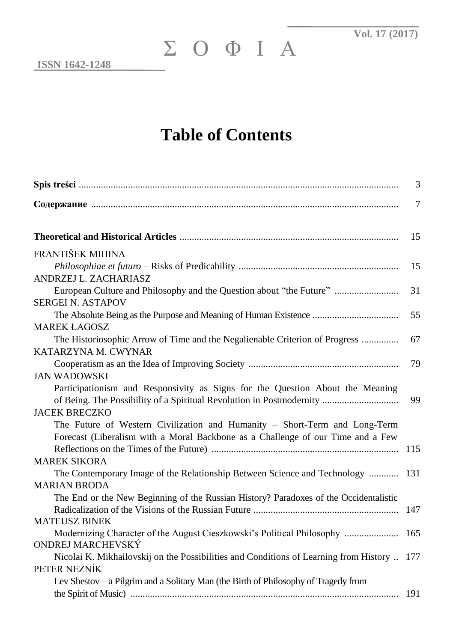## **Table of Contents**

| ΣΟΦΙΑ<br><b>ISSN 1642-1248</b>                                                                                                                                                                       |      |
|------------------------------------------------------------------------------------------------------------------------------------------------------------------------------------------------------|------|
| <b>Table of Contents</b>                                                                                                                                                                             |      |
|                                                                                                                                                                                                      | 3    |
|                                                                                                                                                                                                      | 7    |
|                                                                                                                                                                                                      | 15   |
| FRANTIŠEK MIHINA                                                                                                                                                                                     |      |
| ANDRZEJ L. ZACHARIASZ                                                                                                                                                                                | 15   |
| European Culture and Philosophy and the Question about "the Future"                                                                                                                                  | 31   |
| <b>SERGEI N. ASTAPOV</b>                                                                                                                                                                             | 55   |
| <b>MAREK ŁAGOSZ</b>                                                                                                                                                                                  |      |
| The Historiosophic Arrow of Time and the Negalienable Criterion of Progress<br>KATARZYNA M. CWYNAR                                                                                                   | 67   |
|                                                                                                                                                                                                      | 79   |
| <b>JAN WADOWSKI</b><br>Participationism and Responsivity as Signs for the Question About the Meaning<br>of Being. The Possibility of a Spiritual Revolution in Postmodernity<br><b>JACEK BRECZKO</b> | 99   |
| The Future of Western Civilization and Humanity - Short-Term and Long-Term                                                                                                                           |      |
| Forecast (Liberalism with a Moral Backbone as a Challenge of our Time and a Few                                                                                                                      | 115  |
| <b>MAREK SIKORA</b><br>The Contemporary Image of the Relationship Between Science and Technology                                                                                                     | 131  |
| <b>MARIAN BRODA</b>                                                                                                                                                                                  |      |
| The End or the New Beginning of the Russian History? Paradoxes of the Occidentalistic                                                                                                                | 147  |
| <b>MATEUSZ BINEK</b><br>Modernizing Character of the August Cieszkowski's Political Philosophy                                                                                                       | 165  |
| ONDREJ MARCHEVSKÝ                                                                                                                                                                                    |      |
| Nicolai K. Mikhailovskij on the Possibilities and Conditions of Learning from History  177<br>PETER NEZNÍK                                                                                           |      |
| Lev Shestov – a Pilgrim and a Solitary Man (the Birth of Philosophy of Tragedy from                                                                                                                  |      |
|                                                                                                                                                                                                      | -191 |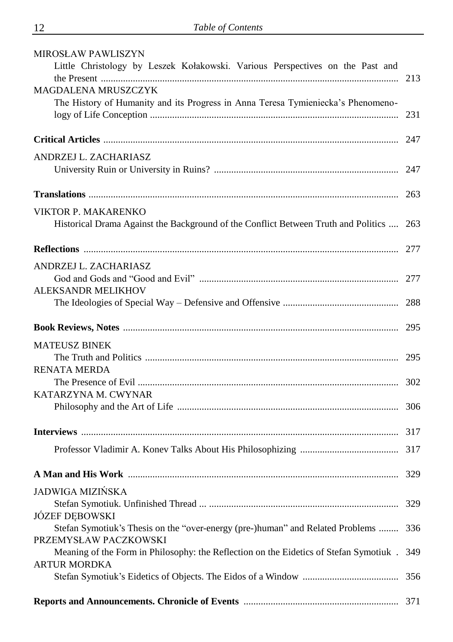| <b>MIROSŁAW PAWLISZYN</b>                                                             |     |
|---------------------------------------------------------------------------------------|-----|
| Little Christology by Leszek Kołakowski. Various Perspectives on the Past and         |     |
|                                                                                       | 213 |
| <b>MAGDALENA MRUSZCZYK</b>                                                            |     |
| The History of Humanity and its Progress in Anna Teresa Tymieniecka's Phenomeno-      |     |
|                                                                                       | 231 |
|                                                                                       |     |
| ANDRZEJ L. ZACHARIASZ                                                                 |     |
|                                                                                       |     |
|                                                                                       |     |
|                                                                                       |     |
| VIKTOR P. MAKARENKO                                                                   |     |
| Historical Drama Against the Background of the Conflict Between Truth and Politics    | 263 |
|                                                                                       |     |
|                                                                                       | 277 |
| ANDRZEJ L. ZACHARIASZ                                                                 |     |
|                                                                                       |     |
| ALEKSANDR MELIKHOV                                                                    |     |
|                                                                                       |     |
|                                                                                       | 295 |
| <b>MATEUSZ BINEK</b>                                                                  |     |
|                                                                                       | 295 |
| <b>RENATA MERDA</b>                                                                   |     |
|                                                                                       |     |
| KATARZYNA M. CWYNAR                                                                   |     |
|                                                                                       | 306 |
|                                                                                       |     |
|                                                                                       |     |
|                                                                                       |     |
|                                                                                       |     |
| JADWIGA MIZIŃSKA                                                                      |     |
|                                                                                       | 329 |
| JÓZEF DEBOWSKI                                                                        |     |
| Stefan Symotiuk's Thesis on the "over-energy (pre-)human" and Related Problems        | 336 |
| PRZEMYSŁAW PACZKOWSKI                                                                 |     |
| Meaning of the Form in Philosophy: the Reflection on the Eidetics of Stefan Symotiuk. | 349 |
| <b>ARTUR MORDKA</b>                                                                   |     |
|                                                                                       |     |
|                                                                                       | 371 |